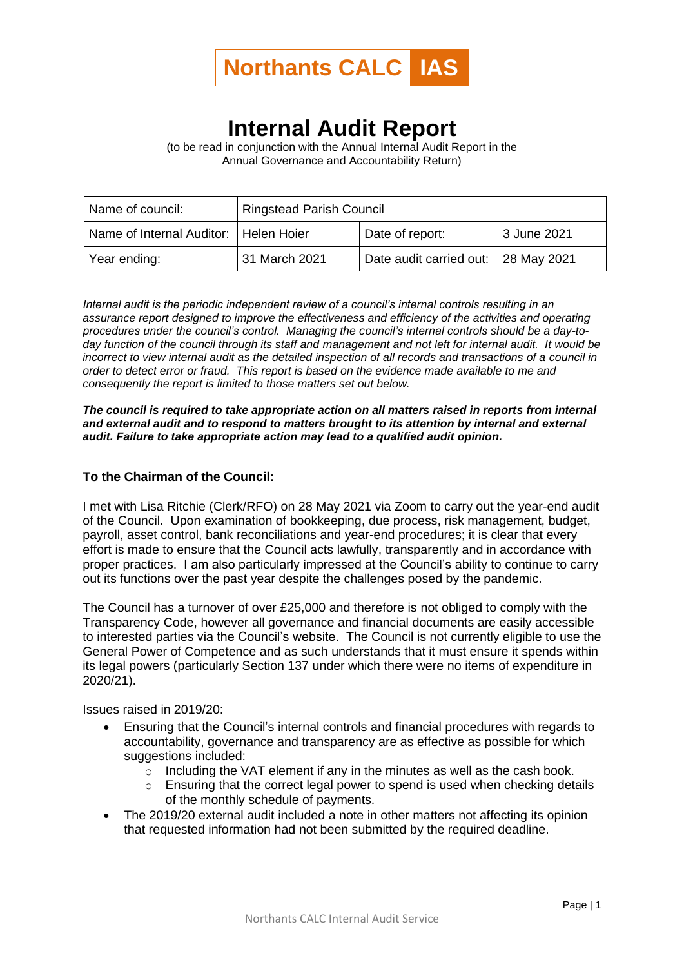

## **Internal Audit Report**

(to be read in conjunction with the Annual Internal Audit Report in the Annual Governance and Accountability Return)

| Name of council:                        | <b>Ringstead Parish Council</b> |                                     |             |
|-----------------------------------------|---------------------------------|-------------------------------------|-------------|
| Name of Internal Auditor:   Helen Hoier |                                 | Date of report:                     | 3 June 2021 |
| Year ending:                            | 31 March 2021                   | Date audit carried out: 28 May 2021 |             |

*Internal audit is the periodic independent review of a council's internal controls resulting in an assurance report designed to improve the effectiveness and efficiency of the activities and operating procedures under the council's control. Managing the council's internal controls should be a day-today function of the council through its staff and management and not left for internal audit. It would be incorrect to view internal audit as the detailed inspection of all records and transactions of a council in order to detect error or fraud. This report is based on the evidence made available to me and consequently the report is limited to those matters set out below.*

*The council is required to take appropriate action on all matters raised in reports from internal and external audit and to respond to matters brought to its attention by internal and external audit. Failure to take appropriate action may lead to a qualified audit opinion.*

## **To the Chairman of the Council:**

I met with Lisa Ritchie (Clerk/RFO) on 28 May 2021 via Zoom to carry out the year-end audit of the Council. Upon examination of bookkeeping, due process, risk management, budget, payroll, asset control, bank reconciliations and year-end procedures; it is clear that every effort is made to ensure that the Council acts lawfully, transparently and in accordance with proper practices. I am also particularly impressed at the Council's ability to continue to carry out its functions over the past year despite the challenges posed by the pandemic.

The Council has a turnover of over £25,000 and therefore is not obliged to comply with the Transparency Code, however all governance and financial documents are easily accessible to interested parties via the Council's website. The Council is not currently eligible to use the General Power of Competence and as such understands that it must ensure it spends within its legal powers (particularly Section 137 under which there were no items of expenditure in 2020/21).

Issues raised in 2019/20:

- Ensuring that the Council's internal controls and financial procedures with regards to accountability, governance and transparency are as effective as possible for which suggestions included:
	- $\circ$  Including the VAT element if any in the minutes as well as the cash book.
	- $\circ$  Ensuring that the correct legal power to spend is used when checking details of the monthly schedule of payments.
- The 2019/20 external audit included a note in other matters not affecting its opinion that requested information had not been submitted by the required deadline.